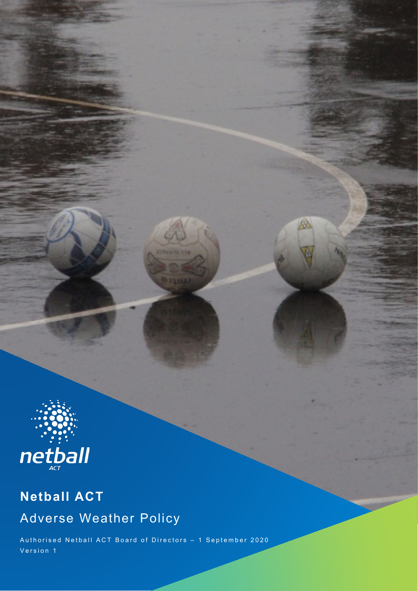

# **Netball ACT**

# Adverse Weather Policy

Authorised Netball ACT Board of Directors – 1 September 2020 Version 1

Netball ACT Adverse Weather Policy Page 0 of 10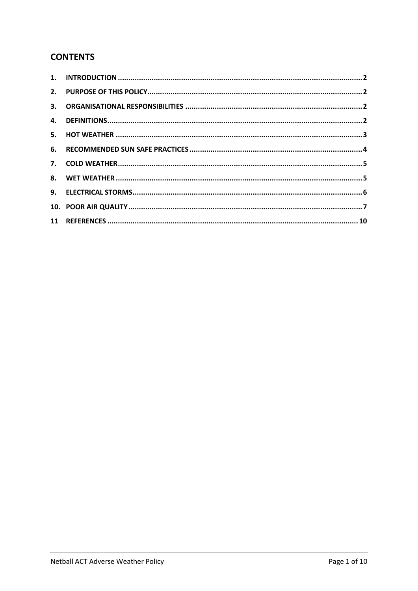# **CONTENTS**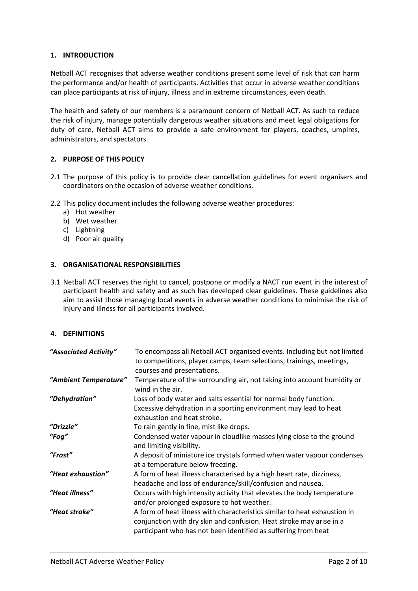#### <span id="page-2-0"></span>**1. INTRODUCTION**

Netball ACT recognises that adverse weather conditions present some level of risk that can harm the performance and/or health of participants. Activities that occur in adverse weather conditions can place participants at risk of injury, illness and in extreme circumstances, even death.

The health and safety of our members is a paramount concern of Netball ACT. As such to reduce the risk of injury, manage potentially dangerous weather situations and meet legal obligations for duty of care, Netball ACT aims to provide a safe environment for players, coaches, umpires, administrators, and spectators.

# <span id="page-2-1"></span>**2. PURPOSE OF THIS POLICY**

- 2.1 The purpose of this policy is to provide clear cancellation guidelines for event organisers and coordinators on the occasion of adverse weather conditions.
- 2.2 This policy document includes the following adverse weather procedures:
	- a) Hot weather
	- b) Wet weather
	- c) Lightning
	- d) Poor air quality

#### <span id="page-2-2"></span>**3. ORGANISATIONAL RESPONSIBILITIES**

3.1 Netball ACT reserves the right to cancel, postpone or modify a NACT run event in the interest of participant health and safety and as such has developed clear guidelines. These guidelines also aim to assist those managing local events in adverse weather conditions to minimise the risk of injury and illness for all participants involved.

#### <span id="page-2-3"></span>**4. DEFINITIONS**

| "Associated Activity" | To encompass all Netball ACT organised events. Including but not limited<br>to competitions, player camps, team selections, trainings, meetings,                                                                   |
|-----------------------|--------------------------------------------------------------------------------------------------------------------------------------------------------------------------------------------------------------------|
|                       | courses and presentations.                                                                                                                                                                                         |
| "Ambient Temperature" | Temperature of the surrounding air, not taking into account humidity or<br>wind in the air.                                                                                                                        |
| "Dehydration"         | Loss of body water and salts essential for normal body function.                                                                                                                                                   |
|                       | Excessive dehydration in a sporting environment may lead to heat<br>exhaustion and heat stroke.                                                                                                                    |
| "Drizzle"             | To rain gently in fine, mist like drops.                                                                                                                                                                           |
| "Foq"                 | Condensed water vapour in cloudlike masses lying close to the ground<br>and limiting visibility.                                                                                                                   |
| "Frost"               | A deposit of miniature ice crystals formed when water vapour condenses<br>at a temperature below freezing.                                                                                                         |
| "Heat exhaustion"     | A form of heat illness characterised by a high heart rate, dizziness,<br>headache and loss of endurance/skill/confusion and nausea.                                                                                |
| "Heat illness"        | Occurs with high intensity activity that elevates the body temperature<br>and/or prolonged exposure to hot weather.                                                                                                |
| "Heat stroke"         | A form of heat illness with characteristics similar to heat exhaustion in<br>conjunction with dry skin and confusion. Heat stroke may arise in a<br>participant who has not been identified as suffering from heat |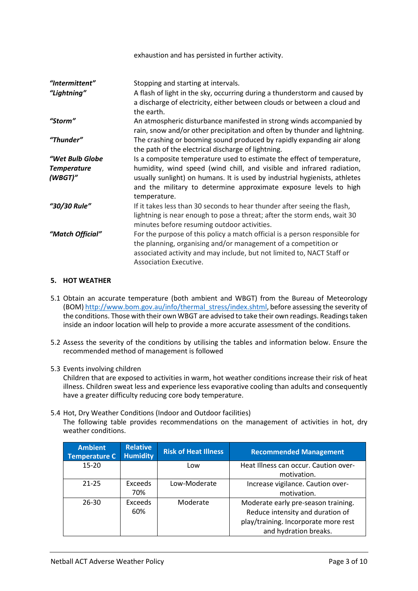| "Intermittent"                | Stopping and starting at intervals.                                                                                                                                                                                                               |
|-------------------------------|---------------------------------------------------------------------------------------------------------------------------------------------------------------------------------------------------------------------------------------------------|
| "Lightning"                   | A flash of light in the sky, occurring during a thunderstorm and caused by<br>a discharge of electricity, either between clouds or between a cloud and<br>the earth.                                                                              |
| "Storm"                       | An atmospheric disturbance manifested in strong winds accompanied by<br>rain, snow and/or other precipitation and often by thunder and lightning.                                                                                                 |
| "Thunder"                     | The crashing or booming sound produced by rapidly expanding air along<br>the path of the electrical discharge of lightning.                                                                                                                       |
| "Wet Bulb Globe               | Is a composite temperature used to estimate the effect of temperature,                                                                                                                                                                            |
| <b>Temperature</b><br>(WBGT)" | humidity, wind speed (wind chill, and visible and infrared radiation,<br>usually sunlight) on humans. It is used by industrial hygienists, athletes<br>and the military to determine approximate exposure levels to high<br>temperature.          |
| "30/30 Rule"                  | If it takes less than 30 seconds to hear thunder after seeing the flash,<br>lightning is near enough to pose a threat; after the storm ends, wait 30<br>minutes before resuming outdoor activities.                                               |
| "Match Official"              | For the purpose of this policy a match official is a person responsible for<br>the planning, organising and/or management of a competition or<br>associated activity and may include, but not limited to, NACT Staff or<br>Association Executive. |

exhaustion and has persisted in further activity.

## <span id="page-3-0"></span>**5. HOT WEATHER**

- 5.1 Obtain an accurate temperature (both ambient and WBGT) from the Bureau of Meteorology (BOM) [http://www.bom.gov.au/info/thermal\\_stress/index.shtml,](http://www.bom.gov.au/info/thermal_stress/index.shtml) before assessing the severity of the conditions. Those with their own WBGT are advised to take their own readings. Readings taken inside an indoor location will help to provide a more accurate assessment of the conditions.
- 5.2 Assess the severity of the conditions by utilising the tables and information below. Ensure the recommended method of management is followed
- 5.3 Events involving children

Children that are exposed to activities in warm, hot weather conditions increase their risk of heat illness. Children sweat less and experience less evaporative cooling than adults and consequently have a greater difficulty reducing core body temperature.

5.4 Hot, Dry Weather Conditions (Indoor and Outdoor facilities)

The following table provides recommendations on the management of activities in hot, dry weather conditions.

| <b>Ambient</b><br><b>Temperature C</b> | <b>Relative</b><br><b>Humidity</b> | <b>Risk of Heat Illness</b> | <b>Recommended Management</b>                                                                                                            |
|----------------------------------------|------------------------------------|-----------------------------|------------------------------------------------------------------------------------------------------------------------------------------|
| $15 - 20$                              |                                    | Low                         | Heat Illness can occur. Caution over-<br>motivation.                                                                                     |
| $21 - 25$                              | Exceeds<br>70%                     | Low-Moderate                | Increase vigilance. Caution over-<br>motivation.                                                                                         |
| $26 - 30$                              | Exceeds<br>60%                     | Moderate                    | Moderate early pre-season training.<br>Reduce intensity and duration of<br>play/training. Incorporate more rest<br>and hydration breaks. |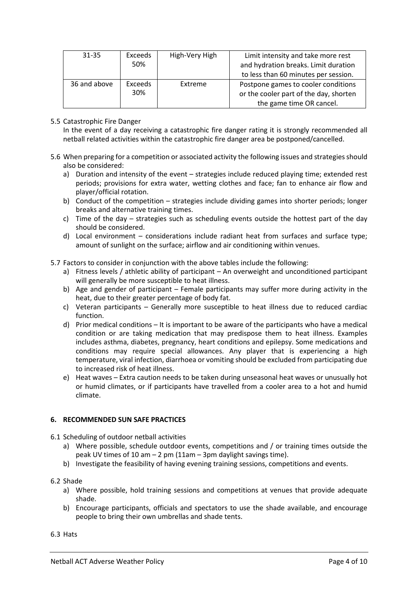| $31 - 35$    | Exceeds<br>50%        | High-Very High | Limit intensity and take more rest<br>and hydration breaks. Limit duration<br>to less than 60 minutes per session. |  |
|--------------|-----------------------|----------------|--------------------------------------------------------------------------------------------------------------------|--|
| 36 and above | <b>Exceeds</b><br>30% | Extreme        | Postpone games to cooler conditions<br>or the cooler part of the day, shorten<br>the game time OR cancel.          |  |

## 5.5 Catastrophic Fire Danger

In the event of a day receiving a catastrophic fire danger rating it is strongly recommended all netball related activities within the catastrophic fire danger area be postponed/cancelled.

- 5.6 When preparing for a competition or associated activity the following issues and strategies should also be considered:
	- a) Duration and intensity of the event strategies include reduced playing time; extended rest periods; provisions for extra water, wetting clothes and face; fan to enhance air flow and player/official rotation.
	- b) Conduct of the competition strategies include dividing games into shorter periods; longer breaks and alternative training times.
	- c) Time of the day strategies such as scheduling events outside the hottest part of the day should be considered.
	- d) Local environment considerations include radiant heat from surfaces and surface type; amount of sunlight on the surface; airflow and air conditioning within venues.
- 5.7 Factors to consider in conjunction with the above tables include the following:
	- a) Fitness levels / athletic ability of participant An overweight and unconditioned participant will generally be more susceptible to heat illness.
	- b) Age and gender of participant Female participants may suffer more during activity in the heat, due to their greater percentage of body fat.
	- c) Veteran participants Generally more susceptible to heat illness due to reduced cardiac function.
	- d) Prior medical conditions It is important to be aware of the participants who have a medical condition or are taking medication that may predispose them to heat illness. Examples includes asthma, diabetes, pregnancy, heart conditions and epilepsy. Some medications and conditions may require special allowances. Any player that is experiencing a high temperature, viral infection, diarrhoea or vomiting should be excluded from participating due to increased risk of heat illness.
	- e) Heat waves Extra caution needs to be taken during unseasonal heat waves or unusually hot or humid climates, or if participants have travelled from a cooler area to a hot and humid climate.

#### <span id="page-4-0"></span>**6. RECOMMENDED SUN SAFE PRACTICES**

- 6.1 Scheduling of outdoor netball activities
	- a) Where possible, schedule outdoor events, competitions and / or training times outside the peak UV times of 10 am – 2 pm (11am – 3pm daylight savings time).
	- b) Investigate the feasibility of having evening training sessions, competitions and events.

#### 6.2 Shade

- a) Where possible, hold training sessions and competitions at venues that provide adequate shade.
- b) Encourage participants, officials and spectators to use the shade available, and encourage people to bring their own umbrellas and shade tents.

6.3 Hats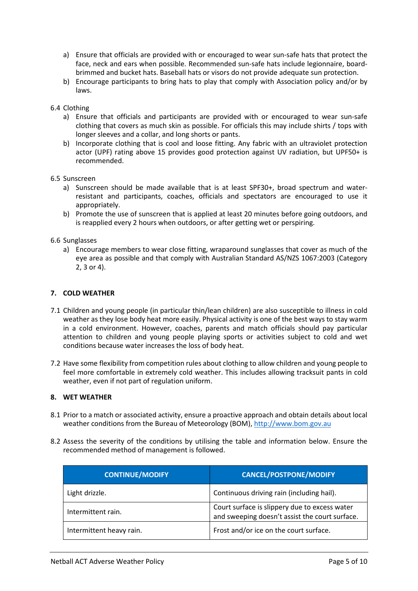- a) Ensure that officials are provided with or encouraged to wear sun-safe hats that protect the face, neck and ears when possible. Recommended sun-safe hats include legionnaire, boardbrimmed and bucket hats. Baseball hats or visors do not provide adequate sun protection.
- b) Encourage participants to bring hats to play that comply with Association policy and/or by laws.
- 6.4 Clothing
	- a) Ensure that officials and participants are provided with or encouraged to wear sun-safe clothing that covers as much skin as possible. For officials this may include shirts / tops with longer sleeves and a collar, and long shorts or pants.
	- b) Incorporate clothing that is cool and loose fitting. Any fabric with an ultraviolet protection actor (UPF) rating above 15 provides good protection against UV radiation, but UPF50+ is recommended.

#### 6.5 Sunscreen

- a) Sunscreen should be made available that is at least SPF30+, broad spectrum and waterresistant and participants, coaches, officials and spectators are encouraged to use it appropriately.
- b) Promote the use of sunscreen that is applied at least 20 minutes before going outdoors, and is reapplied every 2 hours when outdoors, or after getting wet or perspiring.

#### 6.6 Sunglasses

a) Encourage members to wear close fitting, wraparound sunglasses that cover as much of the eye area as possible and that comply with Australian Standard AS/NZS 1067:2003 (Category 2, 3 or 4).

#### <span id="page-5-0"></span>**7. COLD WEATHER**

- 7.1 Children and young people (in particular thin/lean children) are also susceptible to illness in cold weather as they lose body heat more easily. Physical activity is one of the best ways to stay warm in a cold environment. However, coaches, parents and match officials should pay particular attention to children and young people playing sports or activities subject to cold and wet conditions because water increases the loss of body heat.
- 7.2 Have some flexibility from competition rules about clothing to allow children and young people to feel more comfortable in extremely cold weather. This includes allowing tracksuit pants in cold weather, even if not part of regulation uniform.

# <span id="page-5-1"></span>**8. WET WEATHER**

- 8.1 Prior to a match or associated activity, ensure a proactive approach and obtain details about local weather conditions from the Bureau of Meteorology (BOM), [http://www.bom.gov.au](http://www.bom.gov.au/)
- 8.2 Assess the severity of the conditions by utilising the table and information below. Ensure the recommended method of management is followed.

| <b>CONTINUE/MODIFY</b>   | <b>CANCEL/POSTPONE/MODIFY</b>                                                                   |
|--------------------------|-------------------------------------------------------------------------------------------------|
| Light drizzle.           | Continuous driving rain (including hail).                                                       |
| Intermittent rain.       | Court surface is slippery due to excess water<br>and sweeping doesn't assist the court surface. |
| Intermittent heavy rain. | Frost and/or ice on the court surface.                                                          |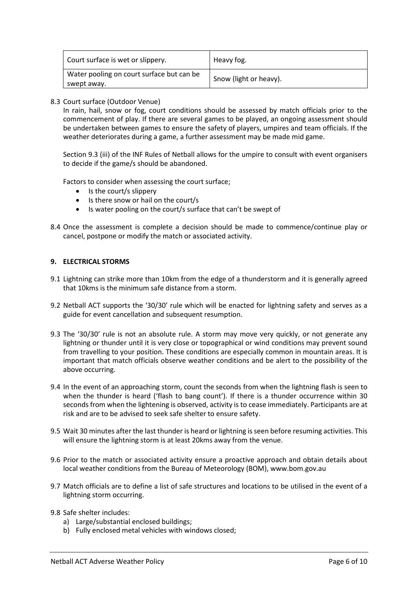| Court surface is wet or slippery.                        | Heavy fog.             |
|----------------------------------------------------------|------------------------|
| Water pooling on court surface but can be<br>swept away. | Snow (light or heavy). |

## 8.3 Court surface (Outdoor Venue)

In rain, hail, snow or fog, court conditions should be assessed by match officials prior to the commencement of play. If there are several games to be played, an ongoing assessment should be undertaken between games to ensure the safety of players, umpires and team officials. If the weather deteriorates during a game, a further assessment may be made mid game.

Section 9.3 (iii) of the INF Rules of Netball allows for the umpire to consult with event organisers to decide if the game/s should be abandoned.

Factors to consider when assessing the court surface;

- Is the court/s slippery
- Is there snow or hail on the court/s
- Is water pooling on the court/s surface that can't be swept of
- 8.4 Once the assessment is complete a decision should be made to commence/continue play or cancel, postpone or modify the match or associated activity.

#### <span id="page-6-0"></span>**9. ELECTRICAL STORMS**

- 9.1 Lightning can strike more than 10km from the edge of a thunderstorm and it is generally agreed that 10kms is the minimum safe distance from a storm.
- 9.2 Netball ACT supports the '30/30' rule which will be enacted for lightning safety and serves as a guide for event cancellation and subsequent resumption.
- 9.3 The '30/30' rule is not an absolute rule. A storm may move very quickly, or not generate any lightning or thunder until it is very close or topographical or wind conditions may prevent sound from travelling to your position. These conditions are especially common in mountain areas. It is important that match officials observe weather conditions and be alert to the possibility of the above occurring.
- 9.4 In the event of an approaching storm, count the seconds from when the lightning flash is seen to when the thunder is heard ('flash to bang count'). If there is a thunder occurrence within 30 seconds from when the lightening is observed, activity is to cease immediately. Participants are at risk and are to be advised to seek safe shelter to ensure safety.
- 9.5 Wait 30 minutes after the last thunder is heard or lightning is seen before resuming activities. This will ensure the lightning storm is at least 20kms away from the venue.
- 9.6 Prior to the match or associated activity ensure a proactive approach and obtain details about local weather conditions from the Bureau of Meteorology (BOM), [www.bom.gov.au](http://www.bom.gov.au/)
- 9.7 Match officials are to define a list of safe structures and locations to be utilised in the event of a lightning storm occurring.
- 9.8 Safe shelter includes:
	- a) Large/substantial enclosed buildings;
	- b) Fully enclosed metal vehicles with windows closed;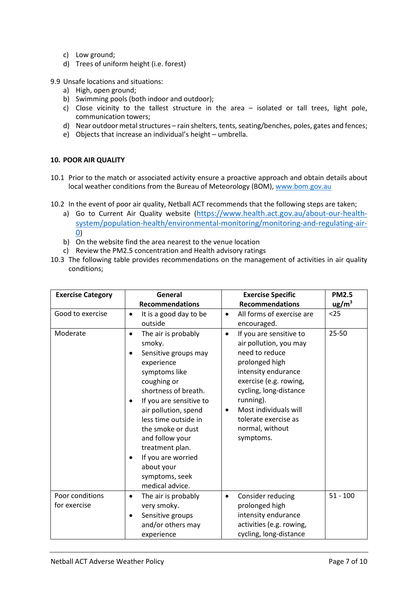- c) Low ground;
- d) Trees of uniform height (i.e. forest)
- 9.9 Unsafe locations and situations:
	- a) High, open ground;
	- b) Swimming pools (both indoor and outdoor);
	- c) Close vicinity to the tallest structure in the area isolated or tall trees, light pole, communication towers;
	- d) Near outdoor metal structures rain shelters, tents, seating/benches, poles, gates and fences;
	- e) Objects that increase an individual's height umbrella.

#### <span id="page-7-0"></span>**10. POOR AIR QUALITY**

- 10.1 Prior to the match or associated activity ensure a proactive approach and obtain details about local weather conditions from the Bureau of Meteorology (BOM)[, www.bom.gov.au](https://netballa-my.sharepoint.com/personal/nicole_bowles_netballact_com_au/Documents/Desktop/NicoleBowles/Desktop/Operations%20and%20Sport/www.bom.gov.au)
- 10.2 In the event of poor air quality, Netball ACT recommends that the following steps are taken;
	- a) Go to Current Air Quality website [\(https://www.health.act.gov.au/about-our-health](https://www.health.act.gov.au/about-our-health-system/population-health/environmental-monitoring/monitoring-and-regulating-air-0)[system/population-health/environmental-monitoring/monitoring-and-regulating-air-](https://www.health.act.gov.au/about-our-health-system/population-health/environmental-monitoring/monitoring-and-regulating-air-0)[0\)](https://www.health.act.gov.au/about-our-health-system/population-health/environmental-monitoring/monitoring-and-regulating-air-0)
	- b) On the website find the area nearest to the venue location
	- c) Review the PM2.5 concentration and Health advisory ratings
- 10.3 The following table provides recommendations on the management of activities in air quality conditions;

| <b>Exercise Category</b>        | General                                                                                                                                                                                                                                                                                                                                                 | <b>Exercise Specific</b>                                                                                                                                                                                                                                                         | <b>PM2.5</b>      |
|---------------------------------|---------------------------------------------------------------------------------------------------------------------------------------------------------------------------------------------------------------------------------------------------------------------------------------------------------------------------------------------------------|----------------------------------------------------------------------------------------------------------------------------------------------------------------------------------------------------------------------------------------------------------------------------------|-------------------|
|                                 | <b>Recommendations</b>                                                                                                                                                                                                                                                                                                                                  | <b>Recommendations</b>                                                                                                                                                                                                                                                           | ug/m <sup>3</sup> |
| Good to exercise                | It is a good day to be<br>$\bullet$<br>outside                                                                                                                                                                                                                                                                                                          | All forms of exercise are<br>$\bullet$<br>encouraged.                                                                                                                                                                                                                            | $25$              |
| Moderate                        | The air is probably<br>$\bullet$<br>smoky.<br>Sensitive groups may<br>experience<br>symptoms like<br>coughing or<br>shortness of breath.<br>If you are sensitive to<br>air pollution, spend<br>less time outside in<br>the smoke or dust<br>and follow your<br>treatment plan.<br>If you are worried<br>about your<br>symptoms, seek<br>medical advice. | If you are sensitive to<br>$\bullet$<br>air pollution, you may<br>need to reduce<br>prolonged high<br>intensity endurance<br>exercise (e.g. rowing,<br>cycling, long-distance<br>running).<br>Most individuals will<br>٠<br>tolerate exercise as<br>normal, without<br>symptoms. | $25 - 50$         |
| Poor conditions<br>for exercise | The air is probably<br>$\bullet$<br>very smoky.                                                                                                                                                                                                                                                                                                         | Consider reducing<br>$\bullet$<br>prolonged high                                                                                                                                                                                                                                 | $51 - 100$        |
|                                 | Sensitive groups<br>and/or others may<br>experience                                                                                                                                                                                                                                                                                                     | intensity endurance<br>activities (e.g. rowing,<br>cycling, long-distance                                                                                                                                                                                                        |                   |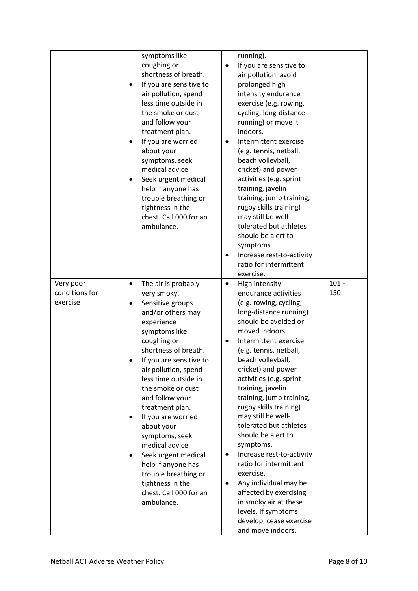|                                         | symptoms like<br>coughing or<br>shortness of breath.<br>If you are sensitive to<br>$\bullet$<br>air pollution, spend<br>less time outside in<br>the smoke or dust<br>and follow your<br>treatment plan.<br>If you are worried<br>$\bullet$<br>about your<br>symptoms, seek<br>medical advice.<br>Seek urgent medical<br>$\bullet$<br>help if anyone has<br>trouble breathing or<br>tightness in the<br>chest. Call 000 for an<br>ambulance.                                                                                                           | running).<br>If you are sensitive to<br>$\bullet$<br>air pollution, avoid<br>prolonged high<br>intensity endurance<br>exercise (e.g. rowing,<br>cycling, long-distance<br>running) or move it<br>indoors.<br>Intermittent exercise<br>$\bullet$<br>(e.g. tennis, netball,<br>beach volleyball,<br>cricket) and power<br>activities (e.g. sprint<br>training, javelin<br>training, jump training,<br>rugby skills training)<br>may still be well-<br>tolerated but athletes<br>should be alert to<br>symptoms.<br>Increase rest-to-activity<br>$\bullet$<br>ratio for intermittent<br>exercise.                                                                                    |                |
|-----------------------------------------|-------------------------------------------------------------------------------------------------------------------------------------------------------------------------------------------------------------------------------------------------------------------------------------------------------------------------------------------------------------------------------------------------------------------------------------------------------------------------------------------------------------------------------------------------------|-----------------------------------------------------------------------------------------------------------------------------------------------------------------------------------------------------------------------------------------------------------------------------------------------------------------------------------------------------------------------------------------------------------------------------------------------------------------------------------------------------------------------------------------------------------------------------------------------------------------------------------------------------------------------------------|----------------|
| Very poor<br>conditions for<br>exercise | The air is probably<br>$\bullet$<br>very smoky.<br>Sensitive groups<br>$\bullet$<br>and/or others may<br>experience<br>symptoms like<br>coughing or<br>shortness of breath.<br>If you are sensitive to<br>air pollution, spend<br>less time outside in<br>the smoke or dust<br>and follow your<br>treatment plan.<br>If you are worried<br>$\bullet$<br>about your<br>symptoms, seek<br>medical advice.<br>Seek urgent medical<br>$\bullet$<br>help if anyone has<br>trouble breathing or<br>tightness in the<br>chest. Call 000 for an<br>ambulance. | High intensity<br>$\bullet$<br>endurance activities<br>(e.g. rowing, cycling,<br>long-distance running)<br>should be avoided or<br>moved indoors.<br>Intermittent exercise<br>(e.g. tennis, netball,<br>beach volleyball,<br>cricket) and power<br>activities (e.g. sprint<br>training, javelin<br>training, jump training,<br>rugby skills training)<br>may still be well-<br>tolerated but athletes<br>should be alert to<br>symptoms.<br>Increase rest-to-activity<br>٠<br>ratio for intermittent<br>exercise.<br>Any individual may be<br>$\bullet$<br>affected by exercising<br>in smoky air at these<br>levels. If symptoms<br>develop, cease exercise<br>and move indoors. | $101 -$<br>150 |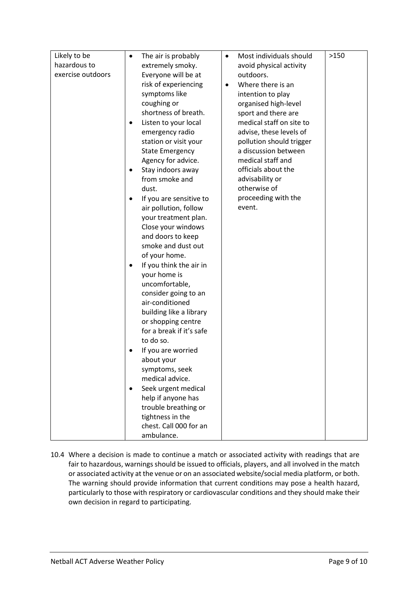| Likely to be      | The air is probably<br>$\bullet$      | Most individuals should<br>$\bullet$ | >150 |
|-------------------|---------------------------------------|--------------------------------------|------|
| hazardous to      | extremely smoky.                      | avoid physical activity              |      |
| exercise outdoors | Everyone will be at                   | outdoors.                            |      |
|                   | risk of experiencing                  | Where there is an<br>$\bullet$       |      |
|                   | symptoms like                         | intention to play                    |      |
|                   | coughing or                           | organised high-level                 |      |
|                   | shortness of breath.                  | sport and there are                  |      |
|                   | Listen to your local<br>٠             | medical staff on site to             |      |
|                   | emergency radio                       | advise, these levels of              |      |
|                   | station or visit your                 | pollution should trigger             |      |
|                   | <b>State Emergency</b>                | a discussion between                 |      |
|                   | Agency for advice.                    | medical staff and                    |      |
|                   | Stay indoors away<br>$\bullet$        | officials about the                  |      |
|                   | from smoke and                        | advisability or                      |      |
|                   | dust.                                 | otherwise of                         |      |
|                   | If you are sensitive to<br>$\bullet$  | proceeding with the                  |      |
|                   | air pollution, follow                 | event.                               |      |
|                   | your treatment plan.                  |                                      |      |
|                   | Close your windows                    |                                      |      |
|                   | and doors to keep                     |                                      |      |
|                   | smoke and dust out                    |                                      |      |
|                   | of your home.                         |                                      |      |
|                   | If you think the air in<br>$\bullet$  |                                      |      |
|                   | your home is                          |                                      |      |
|                   | uncomfortable,                        |                                      |      |
|                   | consider going to an                  |                                      |      |
|                   | air-conditioned                       |                                      |      |
|                   | building like a library               |                                      |      |
|                   | or shopping centre                    |                                      |      |
|                   | for a break if it's safe<br>to do so. |                                      |      |
|                   |                                       |                                      |      |
|                   | If you are worried                    |                                      |      |
|                   | about your<br>symptoms, seek          |                                      |      |
|                   | medical advice.                       |                                      |      |
|                   | Seek urgent medical<br>$\bullet$      |                                      |      |
|                   | help if anyone has                    |                                      |      |
|                   | trouble breathing or                  |                                      |      |
|                   | tightness in the                      |                                      |      |
|                   | chest. Call 000 for an                |                                      |      |
|                   | ambulance.                            |                                      |      |

10.4 Where a decision is made to continue a match or associated activity with readings that are fair to hazardous, warnings should be issued to officials, players, and all involved in the match or associated activity at the venue or on an associated website/social media platform, or both. The warning should provide information that current conditions may pose a health hazard, particularly to those with respiratory or cardiovascular conditions and they should make their own decision in regard to participating.